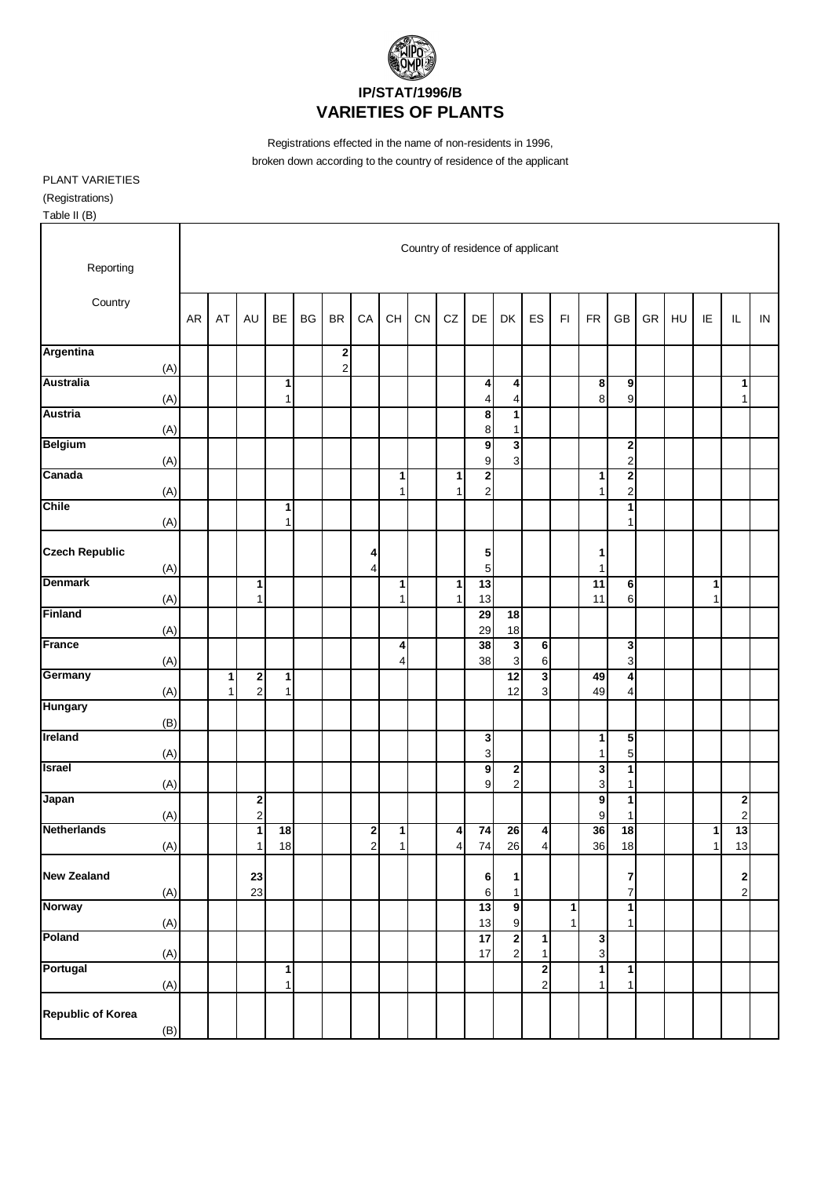

Registrations effected in the name of non-residents in 1996, broken down according to the country of residence of the applicant

PLANT VARIETIES (Registrations) Table II (B)

Country of residence of applicant Reporting **Country** AR | AT | AU | BE | BG | BR | CA | CH | CN | CZ | DE | DK | ES | FI | FR | GB | GR | HU | IE | IL | IN **Argentina 2**  $(A)$  | | | | 2 **Australia 1 4 4 8 9 1** (A) | | | 1 | | | | | | | | 4 | 4 | | | 8 | 9 | | | | 1 **Austria 8 1** (A) | | | | | | | | | | | 8 1 **Belgium 9 3 2** (A) | | | | | | | | | | 9 3 | | | 2 **Canada 1 1 2 1 2** (A) | | | | | | | 1 | 1 | 2 | | | 1 | 2 **Chile 1 1** (A) 1 1 **Czech Republic** (A)  $\begin{array}{|c|c|c|c|c|c|} \hline \text{(A)} & \text{(C) } & \text{(D)} & \text{(E) } & \text{(E) } & \text{(E) } & \text{(E) } & \text{(E) } & \text{(E) } & \text{(E) } & \text{(E) } & \text{(E) } & \text{(E) } & \text{(E) } & \text{(E) } & \text{(E) } & \text{(E) } & \text{(E) } & \text{(E) } & \text{(E) } & \text{(E) } & \text{(E) } & \text{(E) } & \text{(E) } & \text{(E) } & \text{(E)$ (A) | | | | | | 4 | | | 5 | | | 1 **Denmark 1 1 1 13 11 6 1** (A) | | 1 | | | | 1 | 1 | 1 | 13 | | | 11 | 6 | | | 1 **Finland 29 18** (A) 29 18 **France 4 38 3 6 3** (A) | | | | | | | 4 | | 38 | 3 | 6 | | | 3 **Germany 1 2 1 12 3 49 4** (A) | 1 | 2 | 1 | | | | | | | | | 12 | 3 | | | 49 | 4 **Hungary** (B) **Ireland 3 1 5** (A) 3 1 5 **Israel 9 2 3 1** (A) | | | | | | | | | | 9 | 2 | | 3 | 1 **Japan 2 9 1 2** (A) | | 2 | | | | | | | | | | | | 9 1 | | | 2 **Netherlands 1 18 2 1 4 74 26 4 36 18 1 13** (A) | | 1| 18 | | 2| 1| | 4| 74| 26| 4| | 36| 18| | | 1| 13 **New Zealand 23 6 1 7 2** (A) | | 23 | | | | | | | 6 | 1 | | | | 7 | | | | 2 **Norway 13 9 1 1** (A) | | | | | | | | | | 13 9 | 1 | 1 **Poland 17 2 1 3** (A) | | | | | | | | | | 17 | 2 | 1 | 1 **Portugal 1 2 1 1** (A) | | | 1 | | | | | | | | | 2 | 1 | 1 **Republic of Korea** (B)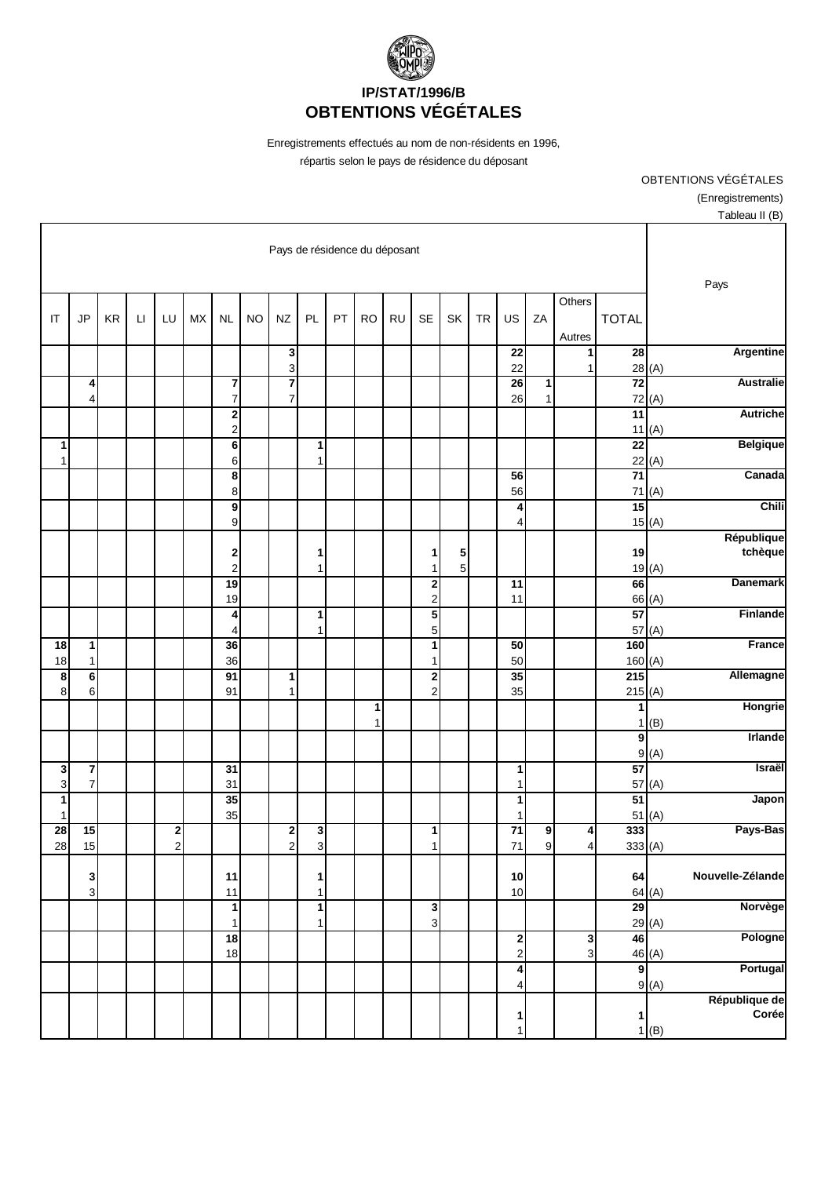

Enregistrements effectués au nom de non-résidents en 1996, répartis selon le pays de résidence du déposant

> OBTENTIONS VÉGÉTALES (Enregistrements) Tableau II (B)

|                                 |                              |    |                        |                |           |                                           |           | Pays de résidence du déposant |                              |    |           |           |                              |        |           |                                             |              |                  |                            |        |                        |
|---------------------------------|------------------------------|----|------------------------|----------------|-----------|-------------------------------------------|-----------|-------------------------------|------------------------------|----|-----------|-----------|------------------------------|--------|-----------|---------------------------------------------|--------------|------------------|----------------------------|--------|------------------------|
| IT                              | <b>JP</b>                    | KR | $\mathsf{L}\mathsf{I}$ | LU             | <b>MX</b> | <b>NL</b>                                 | <b>NO</b> | NZ                            | PL                           | PT | <b>RO</b> | <b>RU</b> | <b>SE</b>                    | SK     | <b>TR</b> | US                                          | ZA           | Others<br>Autres | <b>TOTAL</b>               |        | Pays                   |
|                                 |                              |    |                        |                |           |                                           |           | $\mathbf 3$<br>3              |                              |    |           |           |                              |        |           | 22<br>22                                    |              | 1<br>1           | $\overline{28}$            | 28(A)  | Argentine              |
|                                 | 4<br>4                       |    |                        |                |           | $\boldsymbol{7}$<br>$\overline{7}$        |           | 7<br>$\overline{7}$           |                              |    |           |           |                              |        |           | 26<br>26                                    | 1<br>1       |                  | $\overline{72}$<br>72      | (A)    | <b>Australie</b>       |
|                                 |                              |    |                        |                |           | $\overline{\mathbf{c}}$<br>$\overline{c}$ |           |                               |                              |    |           |           |                              |        |           |                                             |              |                  | $\overline{11}$<br>11      | (A)    | <b>Autriche</b>        |
| 1<br>1                          |                              |    |                        |                |           | $\overline{\mathbf{6}}$<br>6              |           |                               | 1<br>1                       |    |           |           |                              |        |           |                                             |              |                  | $\overline{22}$            | 22(A)  | <b>Belgique</b>        |
|                                 |                              |    |                        |                |           | $\overline{\mathbf{8}}$<br>8              |           |                               |                              |    |           |           |                              |        |           | 56<br>56                                    |              |                  | $\overline{71}$<br>71      | (A)    | Canada                 |
|                                 |                              |    |                        |                |           | $\overline{9}$<br>9                       |           |                               |                              |    |           |           |                              |        |           | 4<br>4                                      |              |                  | 15                         | 15(A)  | Chili                  |
|                                 |                              |    |                        |                |           | $\overline{\mathbf{c}}$<br>$\overline{c}$ |           |                               | 1<br>$\mathbf{1}$            |    |           |           | 1<br>$\mathbf{1}$            | 5<br>5 |           |                                             |              |                  | 19                         | 19(A)  | République<br>tchèque  |
|                                 |                              |    |                        |                |           | 19<br>19                                  |           |                               |                              |    |           |           | 2<br>$\overline{\mathbf{c}}$ |        |           | $\overline{11}$<br>11                       |              |                  | 66                         | 66 (A) | <b>Danemark</b>        |
|                                 |                              |    |                        |                |           | 4<br>4                                    |           |                               | 1<br>1                       |    |           |           | $\overline{\mathbf{5}}$<br>5 |        |           |                                             |              |                  | 57<br>57                   | (A)    | Finlande               |
| 18<br>18                        | $\mathbf{1}$<br>$\mathbf{1}$ |    |                        |                |           | 36<br>36                                  |           |                               |                              |    |           |           | 1<br>$\mathbf{1}$            |        |           | 50<br>50                                    |              |                  | 160<br>160(A)              |        | France                 |
| 8<br>8                          | $\bf 6$<br>6                 |    |                        |                |           | 91<br>91                                  |           | 1<br>$\mathbf{1}$             |                              |    |           |           | $\overline{\mathbf{c}}$<br>2 |        |           | 35<br>35                                    |              |                  | $\overline{215}$<br>215(A) |        | Allemagne              |
|                                 |                              |    |                        |                |           |                                           |           |                               |                              |    | 1<br>1    |           |                              |        |           |                                             |              |                  | 1<br>1                     | (B)    | Hongrie                |
|                                 |                              |    |                        |                |           |                                           |           |                               |                              |    |           |           |                              |        |           |                                             |              |                  | $\boldsymbol{9}$           | 9(A)   | Irlande                |
| 3                               | $\pmb{7}$                    |    |                        |                |           | 31                                        |           |                               |                              |    |           |           |                              |        |           | 1                                           |              |                  | 57                         |        | Israël                 |
| 3<br>1                          | $\boldsymbol{7}$             |    |                        |                |           | 31<br>35                                  |           |                               |                              |    |           |           |                              |        |           | 1<br>1                                      |              |                  | 57<br>51                   | (A)    | Japon                  |
| $\mathbf{1}$<br>$\overline{28}$ | 15                           |    |                        | 2              |           | 35                                        |           | $\mathbf 2$                   | 3                            |    |           |           | $\mathbf{1}$                 |        |           | 1<br>$\overline{71}$                        | 9            | 4                | 51<br>333                  | (A)    | Pays-Bas               |
| 28                              | 15                           |    |                        | $\overline{c}$ |           |                                           |           | $\mathbf 2$                   | 3                            |    |           |           | $\mathbf{1}$                 |        |           | 71                                          | $\mathbf{9}$ | 4                | 333(A)                     |        |                        |
|                                 | 3<br>$\overline{3}$          |    |                        |                |           | 11<br>$11$                                |           |                               | 1<br>$\mathbf{1}$            |    |           |           |                              |        |           | 10<br>10                                    |              |                  | 64                         | 64(A)  | Nouvelle-Zélande       |
|                                 |                              |    |                        |                |           | $\mathbf{1}$<br>1                         |           |                               | $\mathbf{1}$<br>$\mathbf{1}$ |    |           |           | $\mathbf 3$<br>3             |        |           |                                             |              |                  | 29                         | 29(A)  | Norvège                |
|                                 |                              |    |                        |                |           | $\overline{18}$<br>18                     |           |                               |                              |    |           |           |                              |        |           | $\begin{array}{c} \n2 \\ \n2 \n\end{array}$ |              | 3<br>3           | 46                         | 46 (A) | Pologne                |
|                                 |                              |    |                        |                |           |                                           |           |                               |                              |    |           |           |                              |        |           | 4<br>4                                      |              |                  | 9                          | 9(A)   | Portugal               |
|                                 |                              |    |                        |                |           |                                           |           |                               |                              |    |           |           |                              |        |           | 1<br>1                                      |              |                  | $\mathbf{1}$               | 1(B)   | République de<br>Corée |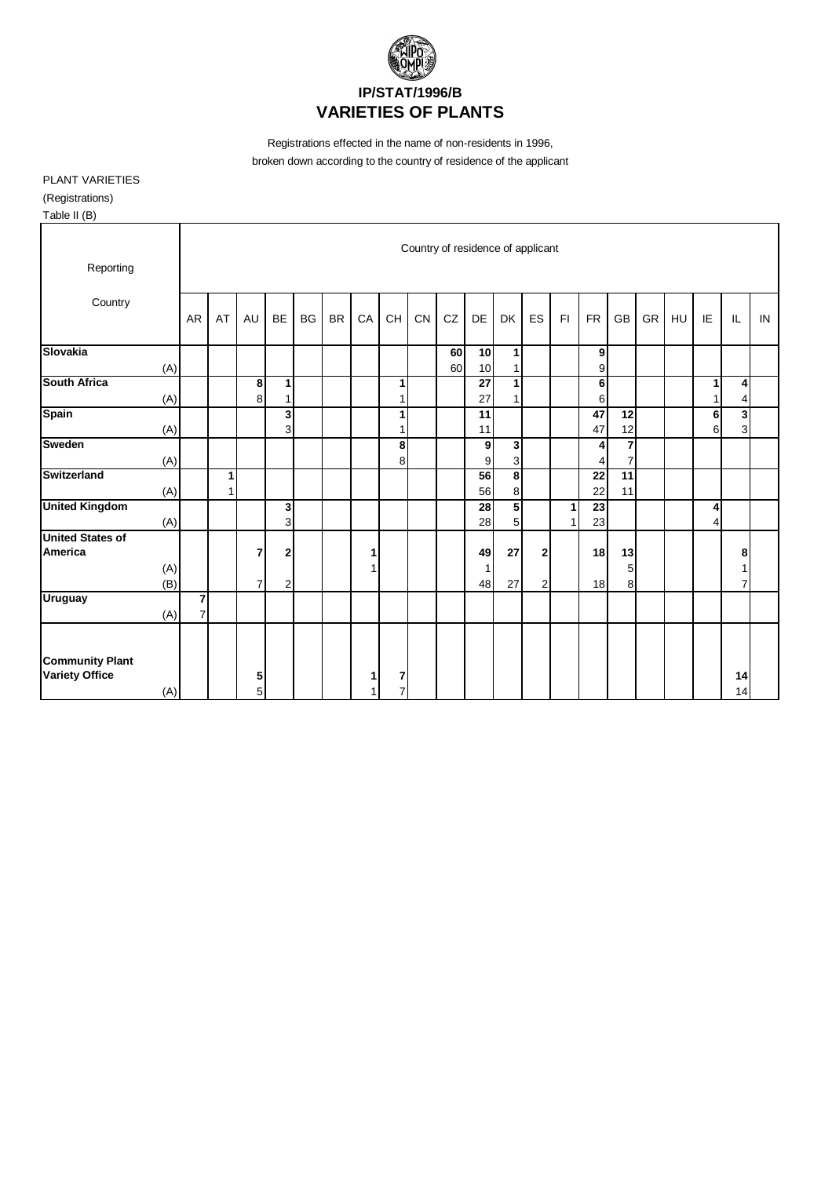

Registrations effected in the name of non-residents in 1996, broken down according to the country of residence of the applicant

PLANT VARIETIES (Registrations) Table II (B)

| . 00000                                         |            |                                |        |        |                     |           |           |    |                     |                                   |          |               |                              |        |    |                       |                                  |    |    |        |          |    |
|-------------------------------------------------|------------|--------------------------------|--------|--------|---------------------|-----------|-----------|----|---------------------|-----------------------------------|----------|---------------|------------------------------|--------|----|-----------------------|----------------------------------|----|----|--------|----------|----|
| Reporting                                       |            |                                |        |        |                     |           |           |    |                     | Country of residence of applicant |          |               |                              |        |    |                       |                                  |    |    |        |          |    |
| Country                                         |            | AR                             | AT     | AU     | <b>BE</b>           | <b>BG</b> | <b>BR</b> | CA | CH                  | CN                                | CZ       | DE            | <b>DK</b>                    | ES     | F1 | <b>FR</b>             | GB                               | GR | HU | IE     | IL       | IN |
| <b>Slovakia</b>                                 | (A)        |                                |        |        |                     |           |           |    |                     |                                   | 60<br>60 | 10<br>10      | $\mathbf{1}$<br>1            |        |    | 9<br>9                |                                  |    |    |        |          |    |
| <b>South Africa</b>                             | (A)        |                                |        | 8<br>8 | 1<br>1              |           |           |    | 1<br>1              |                                   |          | 27<br>27      | $\mathbf{1}$<br>$\mathbf{1}$ |        |    | 6<br>$6 \mid$         |                                  |    |    | 1<br>1 | 4<br>4   |    |
| <b>Spain</b>                                    | (A)        |                                |        |        | 3<br>$\overline{3}$ |           |           |    | 1<br>1              |                                   |          | 11<br>11      |                              |        |    | 47<br>47              | 12<br>12                         |    |    | 6<br>6 | 3<br>3   |    |
| <b>Sweden</b>                                   | (A)        |                                |        |        |                     |           |           |    | 8<br>8              |                                   |          | 9<br>9        | 3<br>3                       |        |    | 4<br>4                | $\overline{7}$<br>$\overline{7}$ |    |    |        |          |    |
| <b>Switzerland</b>                              | (A)        |                                | 1<br>1 |        |                     |           |           |    |                     |                                   |          | 56<br>56      | 8<br>8                       |        |    | $\overline{22}$<br>22 | 11<br>11                         |    |    |        |          |    |
| <b>United Kingdom</b>                           | (A)        |                                |        |        | 3<br>$\overline{3}$ |           |           |    |                     |                                   |          | 28<br>28      | 5<br>5                       |        | 1  | 23<br>23              |                                  |    |    | 4<br>4 |          |    |
| <b>United States of</b><br>America              | (A)<br>(B) |                                |        | 7<br>7 | 2<br>$\overline{a}$ |           |           | 1  |                     |                                   |          | 49<br>1<br>48 | 27<br>27                     | 2<br>2 |    | 18<br>18              | 13<br>5<br>8                     |    |    |        | 8        |    |
| <b>Uruguay</b>                                  | (A)        | $\mathbf{z}$<br>$\overline{7}$ |        |        |                     |           |           |    |                     |                                   |          |               |                              |        |    |                       |                                  |    |    |        |          |    |
| <b>Community Plant</b><br><b>Variety Office</b> | (A)        |                                |        | 5<br>5 |                     |           |           | 1  | 7<br>$\overline{7}$ |                                   |          |               |                              |        |    |                       |                                  |    |    |        | 14<br>14 |    |